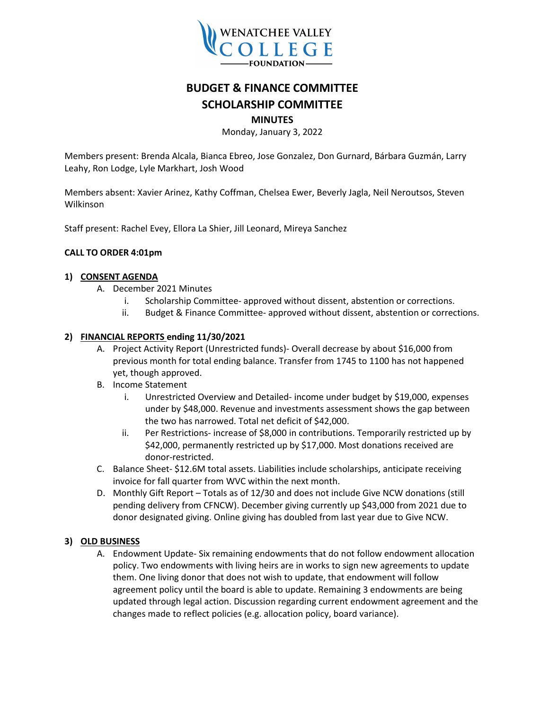

# **BUDGET & FINANCE COMMITTEE SCHOLARSHIP COMMITTEE**

# **MINUTES**

Monday, January 3, 2022

Members present: Brenda Alcala, Bianca Ebreo, Jose Gonzalez, Don Gurnard, Bárbara Guzmán, Larry Leahy, Ron Lodge, Lyle Markhart, Josh Wood

Members absent: Xavier Arinez, Kathy Coffman, Chelsea Ewer, Beverly Jagla, Neil Neroutsos, Steven Wilkinson

Staff present: Rachel Evey, Ellora La Shier, Jill Leonard, Mireya Sanchez

# **CALL TO ORDER 4:01pm**

# **1) CONSENT AGENDA**

- A. December 2021 Minutes
	- i. Scholarship Committee- approved without dissent, abstention or corrections.
	- ii. Budget & Finance Committee- approved without dissent, abstention or corrections.

# **2) FINANCIAL REPORTS ending 11/30/2021**

- A. Project Activity Report (Unrestricted funds)- Overall decrease by about \$16,000 from previous month for total ending balance. Transfer from 1745 to 1100 has not happened yet, though approved.
- B. Income Statement
	- i. Unrestricted Overview and Detailed- income under budget by \$19,000, expenses under by \$48,000. Revenue and investments assessment shows the gap between the two has narrowed. Total net deficit of \$42,000.
	- ii. Per Restrictions- increase of \$8,000 in contributions. Temporarily restricted up by \$42,000, permanently restricted up by \$17,000. Most donations received are donor-restricted.
- C. Balance Sheet- \$12.6M total assets. Liabilities include scholarships, anticipate receiving invoice for fall quarter from WVC within the next month.
- D. Monthly Gift Report Totals as of 12/30 and does not include Give NCW donations (still pending delivery from CFNCW). December giving currently up \$43,000 from 2021 due to donor designated giving. Online giving has doubled from last year due to Give NCW.

# **3) OLD BUSINESS**

A. Endowment Update- Six remaining endowments that do not follow endowment allocation policy. Two endowments with living heirs are in works to sign new agreements to update them. One living donor that does not wish to update, that endowment will follow agreement policy until the board is able to update. Remaining 3 endowments are being updated through legal action. Discussion regarding current endowment agreement and the changes made to reflect policies (e.g. allocation policy, board variance).